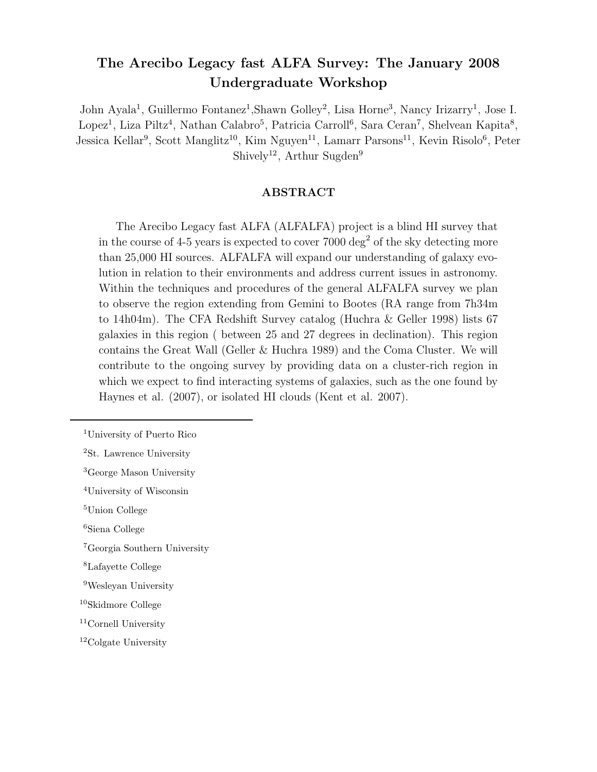# The Arecibo Legacy fast ALFA Survey: The January 2008 Undergraduate Workshop

John Ayala<sup>1</sup>, Guillermo Fontanez<sup>1</sup>, Shawn Golley<sup>2</sup>, Lisa Horne<sup>3</sup>, Nancy Irizarry<sup>1</sup>, Jose I. Lopez<sup>1</sup>, Liza Piltz<sup>4</sup>, Nathan Calabro<sup>5</sup>, Patricia Carroll<sup>6</sup>, Sara Ceran<sup>7</sup>, Shelvean Kapita<sup>8</sup>, Jessica Kellar<sup>9</sup>, Scott Manglitz<sup>10</sup>, Kim Nguyen<sup>11</sup>, Lamarr Parsons<sup>11</sup>, Kevin Risolo<sup>6</sup>, Peter Shively<sup>12</sup>, Arthur Sugden<sup>9</sup>

# ABSTRACT

The Arecibo Legacy fast ALFA (ALFALFA) project is a blind HI survey that in the course of 4-5 years is expected to cover  $7000 \text{ deg}^2$  of the sky detecting more than 25,000 HI sources. ALFALFA will expand our understanding of galaxy evolution in relation to their environments and address current issues in astronomy. Within the techniques and procedures of the general ALFALFA survey we plan to observe the region extending from Gemini to Bootes (RA range from 7h34m to 14h04m). The CFA Redshift Survey catalog (Huchra & Geller 1998) lists 67 galaxies in this region ( between 25 and 27 degrees in declination). This region contains the Great Wall (Geller & Huchra 1989) and the Coma Cluster. We will contribute to the ongoing survey by providing data on a cluster-rich region in which we expect to find interacting systems of galaxies, such as the one found by Haynes et al. (2007), or isolated HI clouds (Kent et al. 2007).

<sup>7</sup>Georgia Southern University

<sup>1</sup>University of Puerto Rico

<sup>2</sup>St. Lawrence University

<sup>3</sup>George Mason University

<sup>4</sup>University of Wisconsin

<sup>5</sup>Union College

<sup>6</sup>Siena College

<sup>8</sup>Lafayette College

<sup>9</sup>Wesleyan University

<sup>10</sup>Skidmore College

<sup>11</sup>Cornell University

<sup>12</sup>Colgate University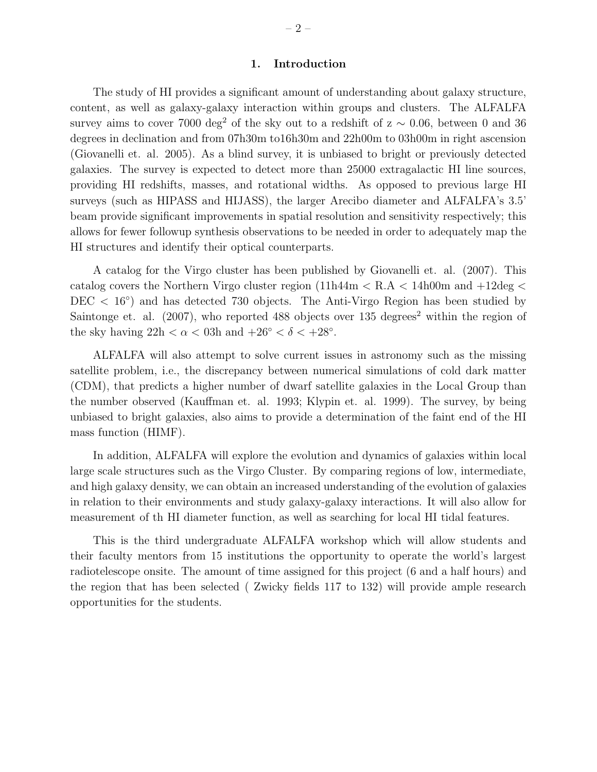#### 1. Introduction

The study of HI provides a significant amount of understanding about galaxy structure, content, as well as galaxy-galaxy interaction within groups and clusters. The ALFALFA survey aims to cover 7000 deg<sup>2</sup> of the sky out to a redshift of  $z \sim 0.06$ , between 0 and 36 degrees in declination and from 07h30m to16h30m and 22h00m to 03h00m in right ascension (Giovanelli et. al. 2005). As a blind survey, it is unbiased to bright or previously detected galaxies. The survey is expected to detect more than 25000 extragalactic HI line sources, providing HI redshifts, masses, and rotational widths. As opposed to previous large HI surveys (such as HIPASS and HIJASS), the larger Arecibo diameter and ALFALFA's 3.5' beam provide significant improvements in spatial resolution and sensitivity respectively; this allows for fewer followup synthesis observations to be needed in order to adequately map the HI structures and identify their optical counterparts.

A catalog for the Virgo cluster has been published by Giovanelli et. al. (2007). This catalog covers the Northern Virgo cluster region  $(11h44m < R.A < 14h00m$  and  $+12deg <$ DEC < 16<sup>°</sup>) and has detected 730 objects. The Anti-Virgo Region has been studied by Saintonge et. al.  $(2007)$ , who reported 488 objects over 135 degrees<sup>2</sup> within the region of the sky having  $22h < \alpha < 03h$  and  $+26° < \delta < +28°$ .

ALFALFA will also attempt to solve current issues in astronomy such as the missing satellite problem, i.e., the discrepancy between numerical simulations of cold dark matter (CDM), that predicts a higher number of dwarf satellite galaxies in the Local Group than the number observed (Kauffman et. al. 1993; Klypin et. al. 1999). The survey, by being unbiased to bright galaxies, also aims to provide a determination of the faint end of the HI mass function (HIMF).

In addition, ALFALFA will explore the evolution and dynamics of galaxies within local large scale structures such as the Virgo Cluster. By comparing regions of low, intermediate, and high galaxy density, we can obtain an increased understanding of the evolution of galaxies in relation to their environments and study galaxy-galaxy interactions. It will also allow for measurement of th HI diameter function, as well as searching for local HI tidal features.

This is the third undergraduate ALFALFA workshop which will allow students and their faculty mentors from 15 institutions the opportunity to operate the world's largest radiotelescope onsite. The amount of time assigned for this project (6 and a half hours) and the region that has been selected ( Zwicky fields 117 to 132) will provide ample research opportunities for the students.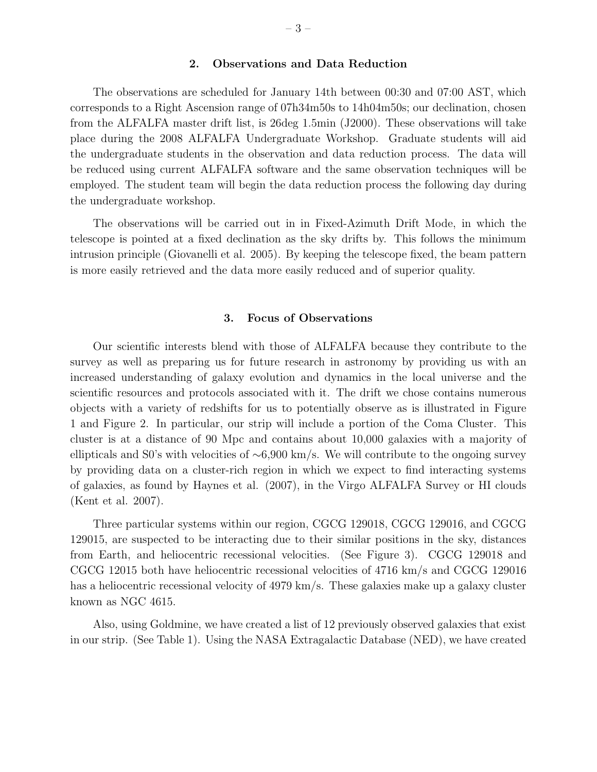### 2. Observations and Data Reduction

The observations are scheduled for January 14th between 00:30 and 07:00 AST, which corresponds to a Right Ascension range of 07h34m50s to 14h04m50s; our declination, chosen from the ALFALFA master drift list, is 26deg 1.5min (J2000). These observations will take place during the 2008 ALFALFA Undergraduate Workshop. Graduate students will aid the undergraduate students in the observation and data reduction process. The data will be reduced using current ALFALFA software and the same observation techniques will be employed. The student team will begin the data reduction process the following day during the undergraduate workshop.

The observations will be carried out in in Fixed-Azimuth Drift Mode, in which the telescope is pointed at a fixed declination as the sky drifts by. This follows the minimum intrusion principle (Giovanelli et al. 2005). By keeping the telescope fixed, the beam pattern is more easily retrieved and the data more easily reduced and of superior quality.

#### 3. Focus of Observations

Our scientific interests blend with those of ALFALFA because they contribute to the survey as well as preparing us for future research in astronomy by providing us with an increased understanding of galaxy evolution and dynamics in the local universe and the scientific resources and protocols associated with it. The drift we chose contains numerous objects with a variety of redshifts for us to potentially observe as is illustrated in Figure 1 and Figure 2. In particular, our strip will include a portion of the Coma Cluster. This cluster is at a distance of 90 Mpc and contains about 10,000 galaxies with a majority of ellipticals and S0's with velocities of ∼6,900 km/s. We will contribute to the ongoing survey by providing data on a cluster-rich region in which we expect to find interacting systems of galaxies, as found by Haynes et al. (2007), in the Virgo ALFALFA Survey or HI clouds (Kent et al. 2007).

Three particular systems within our region, CGCG 129018, CGCG 129016, and CGCG 129015, are suspected to be interacting due to their similar positions in the sky, distances from Earth, and heliocentric recessional velocities. (See Figure 3). CGCG 129018 and CGCG 12015 both have heliocentric recessional velocities of 4716 km/s and CGCG 129016 has a heliocentric recessional velocity of 4979 km/s. These galaxies make up a galaxy cluster known as NGC 4615.

Also, using Goldmine, we have created a list of 12 previously observed galaxies that exist in our strip. (See Table 1). Using the NASA Extragalactic Database (NED), we have created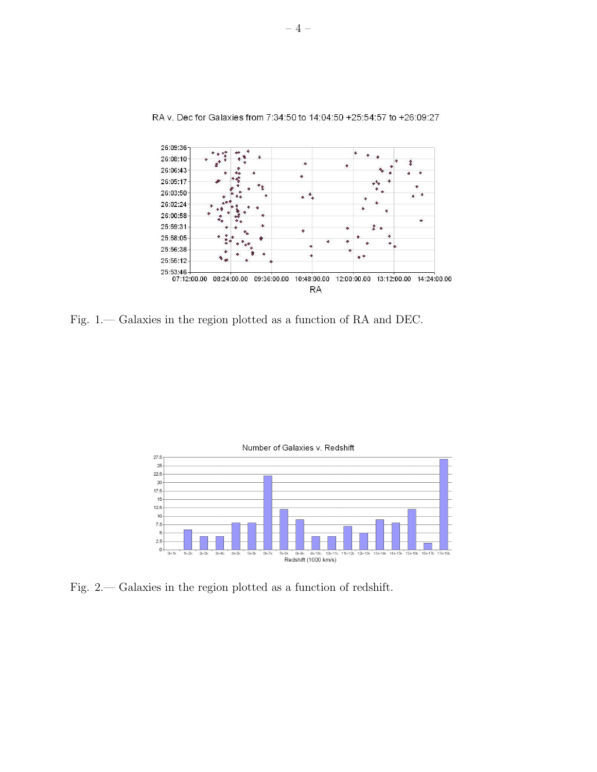

RA v. Dec for Galaxies from 7:34:50 to 14:04:50 +25:54:57 to +26:09:27

Fig. 1.— Galaxies in the region plotted as a function of RA and DEC.



Fig. 2.— Galaxies in the region plotted as a function of redshift.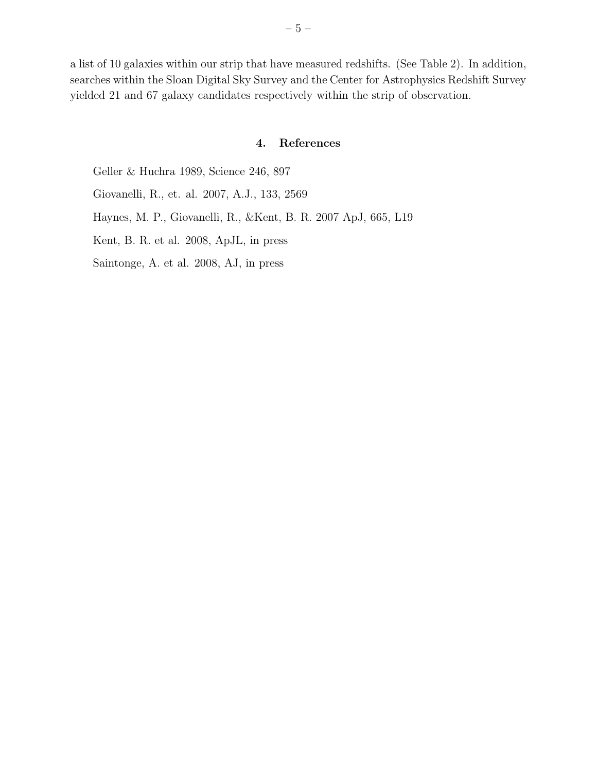a list of 10 galaxies within our strip that have measured redshifts. (See Table 2). In addition, searches within the Sloan Digital Sky Survey and the Center for Astrophysics Redshift Survey yielded 21 and 67 galaxy candidates respectively within the strip of observation.

## 4. References

Geller & Huchra 1989, Science 246, 897

Giovanelli, R., et. al. 2007, A.J., 133, 2569

Haynes, M. P., Giovanelli, R., &Kent, B. R. 2007 ApJ, 665, L19

Kent, B. R. et al. 2008, ApJL, in press

Saintonge, A. et al. 2008, AJ, in press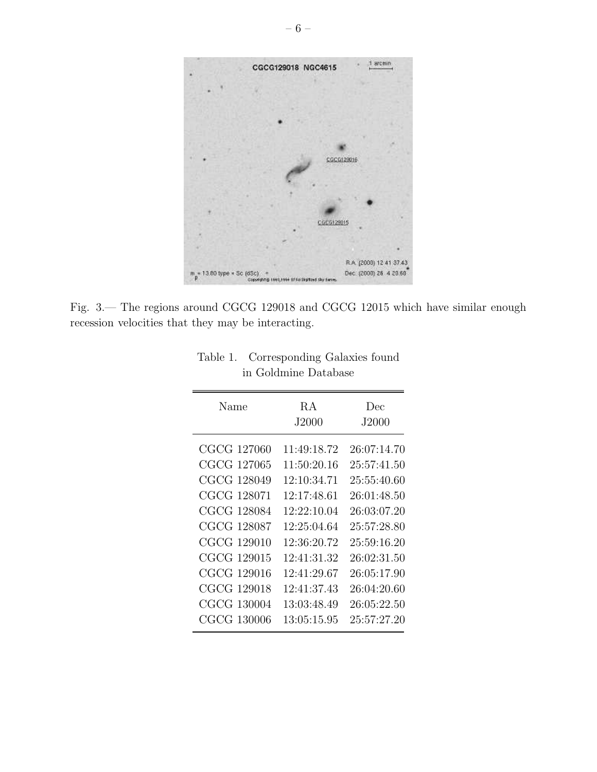

Fig. 3.— The regions around CGCG 129018 and CGCG 12015 which have similar enough recession velocities that they may be interacting.

| Name                                                                                                  | R A<br>J2000                                                                           | Dec<br>J2000                                                                                          |
|-------------------------------------------------------------------------------------------------------|----------------------------------------------------------------------------------------|-------------------------------------------------------------------------------------------------------|
| CGCG 127060<br>CGCG 127065<br>CGCG 128049<br>CGCG 128071<br>CGCG 128084                               | 11:49:18.72<br>11:50:20.16<br>12:10:34.71<br>12:17:48.61<br>12:22:10.04<br>12:25:04.64 | 26:07:14.70<br>25:57:41.50<br>25:55:40.60<br>26:01:48.50<br>26:03:07.20                               |
| CGCG 128087<br>CGCG 129010<br>CGCG 129015<br>CGCG 129016<br>CGCG 129018<br>CGCG 130004<br>CGCG 130006 | 12:36:20.72<br>12:41:31.32<br>12:41:29.67<br>12:41:37.43<br>13:03:48.49<br>13:05:15.95 | 25:57:28.80<br>25:59:16.20<br>26:02:31.50<br>26:05:17.90<br>26:04:20.60<br>26:05:22.50<br>25:57:27.20 |

| Table 1. Corresponding Galaxies found |  |
|---------------------------------------|--|
| in Goldmine Database                  |  |